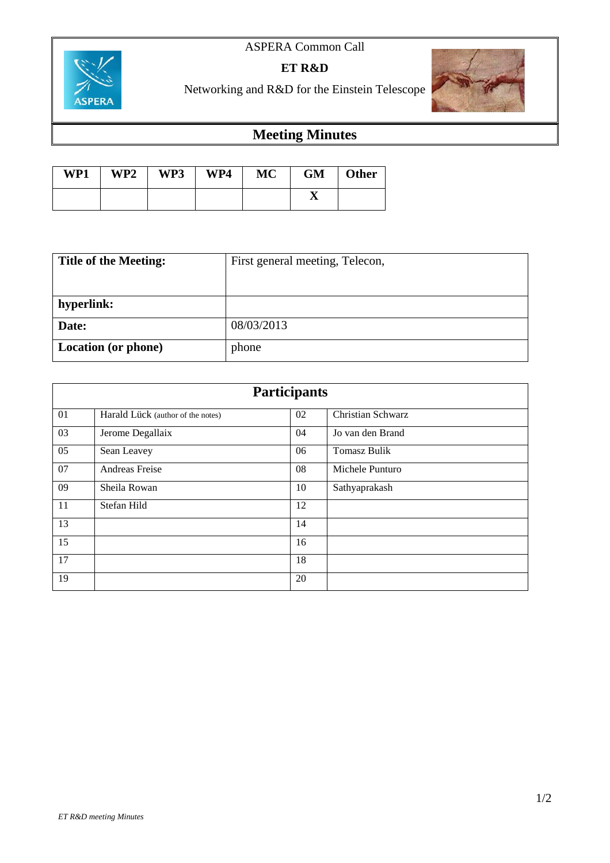## ASPERA Common Call



**ET R&D**

Networking and R&D for the Einstein Telescope



## **Meeting Minutes**

| WP1 | WP2 | WP3 | WP4 | <b>MC</b> | <b>GM</b> | <b>Other</b> |
|-----|-----|-----|-----|-----------|-----------|--------------|
|     |     |     |     |           |           |              |

| <b>Title of the Meeting:</b> | First general meeting, Telecon, |  |  |
|------------------------------|---------------------------------|--|--|
|                              |                                 |  |  |
| hyperlink:                   |                                 |  |  |
| Date:                        | 08/03/2013                      |  |  |
| Location (or phone)          | phone                           |  |  |

| <b>Participants</b> |                                   |    |                     |  |  |
|---------------------|-----------------------------------|----|---------------------|--|--|
| 01                  | Harald Lück (author of the notes) | 02 | Christian Schwarz   |  |  |
| 03                  | Jerome Degallaix                  | 04 | Jo van den Brand    |  |  |
| 05                  | Sean Leavey                       | 06 | <b>Tomasz Bulik</b> |  |  |
| 07                  | Andreas Freise                    | 08 | Michele Punturo     |  |  |
| 09                  | Sheila Rowan                      | 10 | Sathyaprakash       |  |  |
| 11                  | Stefan Hild                       | 12 |                     |  |  |
| 13                  |                                   | 14 |                     |  |  |
| 15                  |                                   | 16 |                     |  |  |
| 17                  |                                   | 18 |                     |  |  |
| 19                  |                                   | 20 |                     |  |  |